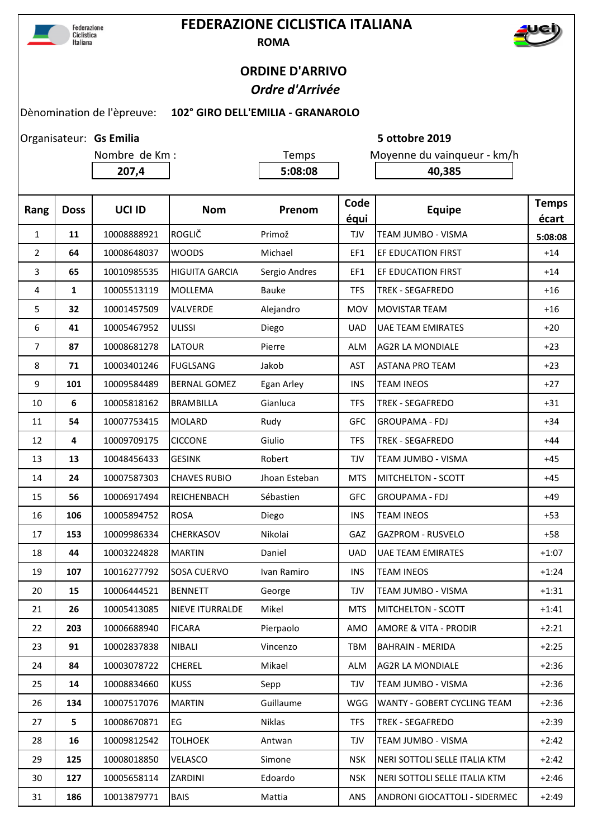

## **FEDERAZIONE CICLISTICA ITALIANA ROMA**



## **ORDINE D'ARRIVO**  *Ordre d'Arrivée*

**Gs Emilia 5 ottobre 2019**

## Dènomination de l'èpreuve: **102° GIRO DELL'EMILIA - GRANAROLO**

Organisateur: Gs Emilia

Nombre de Km : Temps Moyenne du vainqueur - km/h **207,4 5:08:08 40,385 Rang Doss UCI ID Nom Prenom Code équi Equipe Temps écart 11** 10008888921 ROGLIČ Primož TJV TEAM JUMBO - VISMA **5:08:08 64** 10008648037 WOODS Michael **EF1 EFEDUCATION FIRST** +14 **65** 10010985535 HIGUITA GARCIA Sergio Andres FE1 EF EDUCATION FIRST **1** +14 **1** 10005513119 MOLLEMA Bauke TFS TREK - SEGAFREDO +16 **32** 10001457509 VALVERDE Alejandro 1 MOV MOVISTAR TEAM +16 **41** 10005467952 ULISSI Diego UAD UAE TEAM EMIRATES +20 **87** 10008681278 LATOUR Pierre ALM AG2R LA MONDIALE +23 **71** 10003401246 FUGLSANG Jakob **AST ASTANA PRO TEAM** +23 **| 101 |** 10009584489 **|**BERNAL GOMEZ Egan Arley **|** INS |TEAM INEOS | +27 **6** 10005818162 BRAMBILLA Gianluca TFS TREK - SEGAFREDO +31 **54** 10007753415 MOLARD Rudy GFC GROUPAMA - FDJ +34 **4** 10009709175 CICCONE Giulio TFS TREK - SEGAFREDO +44 **13** 10048456433 GESINK Robert TJV TEAM JUMBO - VISMA +45 **24** 10007587303 CHAVES RUBIO Jhoan Esteban MTS MITCHELTON - SCOTT +45 **56** 10006917494 REICHENBACH Sébastien GFC GROUPAMA - FDJ +49 16 | **106** | 10005894752 |ROSA Diego | INS |TEAM INEOS | +53 **153** 10009986334 CHERKASOV Nikolai GAZ GAZPROM - RUSVELO +58 **44** 10003224828 MARTIN Daniel 10AD UAE TEAM EMIRATES 141:07 **107** 10016277792 SOSA CUERVO Ivan Ramiro | INS TEAM INEOS | +1:24 **15** 10006444521 BENNETT George TJV TEAM JUMBO - VISMA +1:31 **26** 10005413085 NIEVE ITURRALDE Mikel **MTS MITCHELTON - SCOTT** 141:41 **203** 10006688940 FICARA Pierpaolo AMO AMORE & VITA - PRODIR +2:21 **91** 10002837838 NIBALI Vincenzo TBM BAHRAIN - MERIDA +2:25 **84** 10003078722 CHEREL Mikael ALM AG2R LA MONDIALE +2:36 **14** 10008834660 KUSS Sepp TJV TEAM JUMBO - VISMA +2:36 **134** 10007517076 MARTIN Guillaume WGG WANTY - GOBERT CYCLING TEAM +2:36 **5** 10008670871 EG Niklas TFS TREK - SEGAFREDO +2:39 **16** 10009812542 TOLHOEK Antwan TJV TEAM JUMBO - VISMA +2:42 **125** 10008018850 VELASCO Simone NSK NERI SOTTOLI SELLE ITALIA KTM  $\vert$  +2:42 **127** 10005658114 ZARDINI Edoardo NSK NERI SOTTOLI SELLE ITALIA KTM +2:46

**186** 10013879771 BAIS Mattia ANS ANDRONI GIOCATTOLI - SIDERMEC +2:49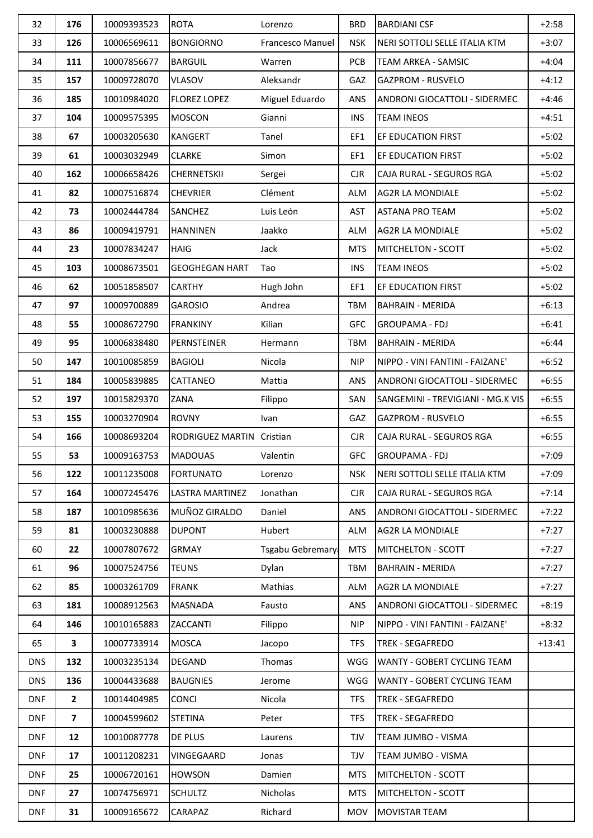| 32         | 176                     | 10009393523 | <b>ROTA</b>               | Lorenzo          | <b>BRD</b> | <b>BARDIANI CSF</b>               | $+2:58$  |
|------------|-------------------------|-------------|---------------------------|------------------|------------|-----------------------------------|----------|
| 33         | 126                     | 10006569611 | <b>BONGIORNO</b>          | Francesco Manuel | <b>NSK</b> | NERI SOTTOLI SELLE ITALIA KTM     | $+3:07$  |
| 34         | 111                     | 10007856677 | <b>BARGUIL</b>            | Warren           | <b>PCB</b> | TEAM ARKEA - SAMSIC               | $+4:04$  |
| 35         | 157                     | 10009728070 | <b>VLASOV</b>             | Aleksandr        | GAZ        | <b>GAZPROM - RUSVELO</b>          | $+4:12$  |
| 36         | 185                     | 10010984020 | <b>FLOREZ LOPEZ</b>       | Miguel Eduardo   | ANS        | ANDRONI GIOCATTOLI - SIDERMEC     | $+4:46$  |
| 37         | 104                     | 10009575395 | <b>MOSCON</b>             | Gianni           | <b>INS</b> | <b>TEAM INEOS</b>                 | $+4:51$  |
| 38         | 67                      | 10003205630 | <b>KANGERT</b>            | Tanel            | EF1        | EF EDUCATION FIRST                | $+5:02$  |
| 39         | 61                      | 10003032949 | <b>CLARKE</b>             | Simon            | EF1        | EF EDUCATION FIRST                | $+5:02$  |
| 40         | 162                     | 10006658426 | CHERNETSKII               | Sergei           | <b>CJR</b> | CAJA RURAL - SEGUROS RGA          | $+5:02$  |
| 41         | 82                      | 10007516874 | <b>CHEVRIER</b>           | Clément          | <b>ALM</b> | <b>AG2R LA MONDIALE</b>           | $+5:02$  |
| 42         | 73                      | 10002444784 | SANCHEZ                   | Luis León        | AST        | <b>ASTANA PRO TEAM</b>            | $+5:02$  |
| 43         | 86                      | 10009419791 | <b>HANNINEN</b>           | Jaakko           | <b>ALM</b> | <b>AG2R LA MONDIALE</b>           | $+5:02$  |
| 44         | 23                      | 10007834247 | <b>HAIG</b>               | Jack             | <b>MTS</b> | <b>MITCHELTON - SCOTT</b>         | $+5:02$  |
| 45         | 103                     | 10008673501 | <b>GEOGHEGAN HART</b>     | Tao              | <b>INS</b> | <b>TEAM INEOS</b>                 | $+5:02$  |
| 46         | 62                      | 10051858507 | <b>CARTHY</b>             | Hugh John        | EF1        | EF EDUCATION FIRST                | $+5:02$  |
| 47         | 97                      | 10009700889 | <b>GAROSIO</b>            | Andrea           | <b>TBM</b> | <b>BAHRAIN - MERIDA</b>           | $+6:13$  |
| 48         | 55                      | 10008672790 | <b>FRANKINY</b>           | Kilian           | <b>GFC</b> | <b>GROUPAMA - FDJ</b>             | $+6:41$  |
| 49         | 95                      | 10006838480 | PERNSTEINER               | Hermann          | <b>TBM</b> | <b>BAHRAIN - MERIDA</b>           | $+6:44$  |
| 50         | 147                     | 10010085859 | <b>BAGIOLI</b>            | Nicola           | <b>NIP</b> | NIPPO - VINI FANTINI - FAIZANE'   | $+6:52$  |
| 51         | 184                     | 10005839885 | CATTANEO                  | Mattia           | ANS        | ANDRONI GIOCATTOLI - SIDERMEC     | $+6:55$  |
| 52         | 197                     | 10015829370 | ZANA                      | Filippo          | SAN        | SANGEMINI - TREVIGIANI - MG.K VIS | $+6:55$  |
| 53         | 155                     | 10003270904 | <b>ROVNY</b>              | Ivan             | GAZ        | <b>GAZPROM - RUSVELO</b>          | $+6:55$  |
| 54         | 166                     | 10008693204 | RODRIGUEZ MARTIN Cristian |                  | <b>CJR</b> | CAJA RURAL - SEGUROS RGA          | $+6:55$  |
| 55         | 53                      | 10009163753 | <b>MADOUAS</b>            | Valentin         | <b>GFC</b> | <b>GROUPAMA - FDJ</b>             | $+7:09$  |
| 56         | 122                     | 10011235008 | <b>FORTUNATO</b>          | Lorenzo          | <b>NSK</b> | NERI SOTTOLI SELLE ITALIA KTM     | $+7:09$  |
| 57         | 164                     | 10007245476 | LASTRA MARTINEZ           | Jonathan         | <b>CJR</b> | CAJA RURAL - SEGUROS RGA          | $+7:14$  |
| 58         | 187                     | 10010985636 | MUÑOZ GIRALDO             | Daniel           | ANS        | ANDRONI GIOCATTOLI - SIDERMEC     | $+7:22$  |
| 59         | 81                      | 10003230888 | <b>DUPONT</b>             | Hubert           | <b>ALM</b> | AG2R LA MONDIALE                  | $+7:27$  |
| 60         | 22                      | 10007807672 | <b>GRMAY</b>              | Tsgabu Gebremary | <b>MTS</b> | MITCHELTON - SCOTT                | $+7:27$  |
| 61         | 96                      | 10007524756 | <b>TEUNS</b>              | Dylan            | <b>TBM</b> | <b>BAHRAIN - MERIDA</b>           | $+7:27$  |
| 62         | 85                      | 10003261709 | <b>FRANK</b>              | Mathias          | <b>ALM</b> | AG2R LA MONDIALE                  | $+7:27$  |
| 63         | 181                     | 10008912563 | <b>MASNADA</b>            | Fausto           | <b>ANS</b> | ANDRONI GIOCATTOLI - SIDERMEC     | $+8:19$  |
| 64         | 146                     | 10010165883 | ZACCANTI                  | Filippo          | <b>NIP</b> | NIPPO - VINI FANTINI - FAIZANE'   | $+8:32$  |
| 65         | $\mathbf{3}$            | 10007733914 | <b>MOSCA</b>              | Jacopo           | <b>TFS</b> | <b>TREK - SEGAFREDO</b>           | $+13:41$ |
| <b>DNS</b> | 132                     | 10003235134 | <b>DEGAND</b>             | Thomas           | WGG        | WANTY - GOBERT CYCLING TEAM       |          |
| <b>DNS</b> | 136                     | 10004433688 | <b>BAUGNIES</b>           | Jerome           | WGG        | WANTY - GOBERT CYCLING TEAM       |          |
| <b>DNF</b> | $\mathbf{2}$            | 10014404985 | <b>CONCI</b>              | Nicola           | <b>TFS</b> | TREK - SEGAFREDO                  |          |
| <b>DNF</b> | $\overline{\mathbf{z}}$ | 10004599602 | <b>STETINA</b>            | Peter            | <b>TFS</b> | TREK - SEGAFREDO                  |          |
| <b>DNF</b> | 12                      | 10010087778 | <b>DE PLUS</b>            | Laurens          | TJV        | TEAM JUMBO - VISMA                |          |
| <b>DNF</b> | 17                      | 10011208231 | VINGEGAARD                | Jonas            | TJV        | TEAM JUMBO - VISMA                |          |
| <b>DNF</b> | 25                      | 10006720161 | <b>HOWSON</b>             | Damien           | <b>MTS</b> | MITCHELTON - SCOTT                |          |
| <b>DNF</b> | 27                      | 10074756971 | <b>SCHULTZ</b>            | Nicholas         | <b>MTS</b> | <b>MITCHELTON - SCOTT</b>         |          |
| <b>DNF</b> | 31                      | 10009165672 | CARAPAZ                   | Richard          | <b>MOV</b> | <b>MOVISTAR TEAM</b>              |          |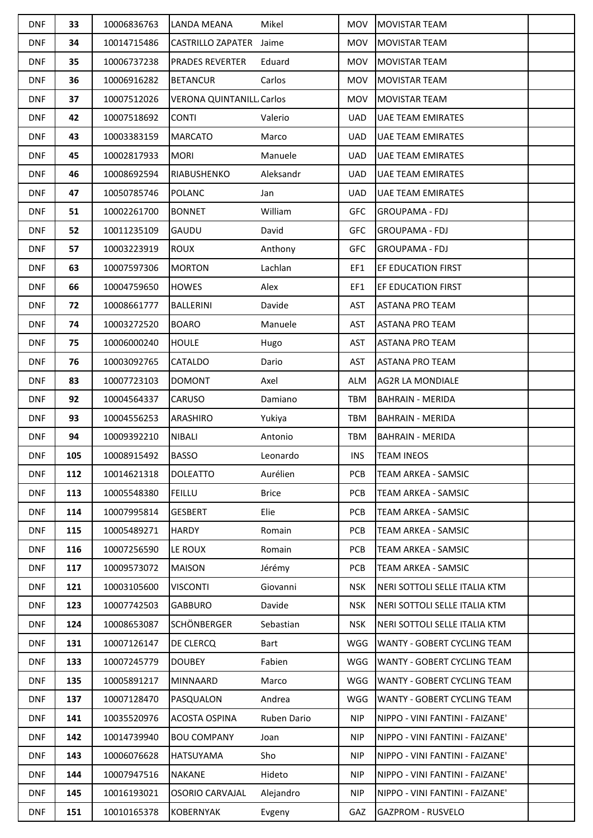| <b>DNF</b> | 33  | 10006836763 | LANDA MEANA                     | Mikel        | <b>MOV</b> | <b>MOVISTAR TEAM</b>            |  |
|------------|-----|-------------|---------------------------------|--------------|------------|---------------------------------|--|
| <b>DNF</b> | 34  | 10014715486 | CASTRILLO ZAPATER Jaime         |              | <b>MOV</b> | <b>MOVISTAR TEAM</b>            |  |
| <b>DNF</b> | 35  | 10006737238 | <b>PRADES REVERTER</b>          | Eduard       | <b>MOV</b> | <b>MOVISTAR TEAM</b>            |  |
| <b>DNF</b> | 36  | 10006916282 | <b>BETANCUR</b>                 | Carlos       | MOV        | <b>MOVISTAR TEAM</b>            |  |
| <b>DNF</b> | 37  | 10007512026 | <b>VERONA QUINTANILL Carlos</b> |              | <b>MOV</b> | <b>MOVISTAR TEAM</b>            |  |
| <b>DNF</b> | 42  | 10007518692 | <b>CONTI</b>                    | Valerio      | <b>UAD</b> | <b>UAE TEAM EMIRATES</b>        |  |
| <b>DNF</b> | 43  | 10003383159 | <b>MARCATO</b>                  | Marco        | <b>UAD</b> | <b>UAE TEAM EMIRATES</b>        |  |
| <b>DNF</b> | 45  | 10002817933 | <b>MORI</b>                     | Manuele      | <b>UAD</b> | <b>UAE TEAM EMIRATES</b>        |  |
| <b>DNF</b> | 46  | 10008692594 | RIABUSHENKO                     | Aleksandr    | <b>UAD</b> | <b>UAE TEAM EMIRATES</b>        |  |
| <b>DNF</b> | 47  | 10050785746 | POLANC                          | Jan          | <b>UAD</b> | <b>UAE TEAM EMIRATES</b>        |  |
| <b>DNF</b> | 51  | 10002261700 | <b>BONNET</b>                   | William      | <b>GFC</b> | <b>GROUPAMA - FDJ</b>           |  |
| <b>DNF</b> | 52  | 10011235109 | GAUDU                           | David        | <b>GFC</b> | <b>GROUPAMA - FDJ</b>           |  |
| <b>DNF</b> | 57  | 10003223919 | <b>ROUX</b>                     | Anthony      | <b>GFC</b> | <b>GROUPAMA - FDJ</b>           |  |
| <b>DNF</b> | 63  | 10007597306 | <b>MORTON</b>                   | Lachlan      | EF1        | <b>EF EDUCATION FIRST</b>       |  |
| <b>DNF</b> | 66  | 10004759650 | <b>HOWES</b>                    | Alex         | EF1        | EF EDUCATION FIRST              |  |
| <b>DNF</b> | 72  | 10008661777 | <b>BALLERINI</b>                | Davide       | AST        | <b>ASTANA PRO TEAM</b>          |  |
| <b>DNF</b> | 74  | 10003272520 | <b>BOARO</b>                    | Manuele      | <b>AST</b> | <b>ASTANA PRO TEAM</b>          |  |
| <b>DNF</b> | 75  | 10006000240 | <b>HOULE</b>                    | Hugo         | AST        | <b>ASTANA PRO TEAM</b>          |  |
| <b>DNF</b> | 76  | 10003092765 | CATALDO                         | Dario        | AST        | <b>ASTANA PRO TEAM</b>          |  |
| <b>DNF</b> | 83  | 10007723103 | <b>DOMONT</b>                   | Axel         | <b>ALM</b> | <b>AG2R LA MONDIALE</b>         |  |
| <b>DNF</b> | 92  | 10004564337 | CARUSO                          | Damiano      | TBM        | <b>BAHRAIN - MERIDA</b>         |  |
| <b>DNF</b> | 93  | 10004556253 | ARASHIRO                        | Yukiya       | <b>TBM</b> | <b>BAHRAIN - MERIDA</b>         |  |
| <b>DNF</b> | 94  | 10009392210 | NIBALI                          | Antonio      | TBM        | <b>BAHRAIN - MERIDA</b>         |  |
| <b>DNF</b> | 105 | 10008915492 | <b>BASSO</b>                    | Leonardo     | INS        | <b>TEAM INEOS</b>               |  |
| <b>DNF</b> | 112 | 10014621318 | <b>DOLEATTO</b>                 | Aurélien     | <b>PCB</b> | <b>TEAM ARKEA - SAMSIC</b>      |  |
| <b>DNF</b> | 113 | 10005548380 | FEILLU                          | <b>Brice</b> | PCB        | TEAM ARKEA - SAMSIC             |  |
| <b>DNF</b> | 114 | 10007995814 | <b>GESBERT</b>                  | Elie         | PCB        | <b>TEAM ARKEA - SAMSIC</b>      |  |
| <b>DNF</b> | 115 | 10005489271 | <b>HARDY</b>                    | Romain       | PCB        | <b>TEAM ARKEA - SAMSIC</b>      |  |
| <b>DNF</b> | 116 | 10007256590 | LE ROUX                         | Romain       | PCB        | TEAM ARKEA - SAMSIC             |  |
| <b>DNF</b> | 117 | 10009573072 | <b>MAISON</b>                   | Jérémy       | PCB        | <b>TEAM ARKEA - SAMSIC</b>      |  |
| <b>DNF</b> | 121 | 10003105600 | <b>VISCONTI</b>                 | Giovanni     | <b>NSK</b> | NERI SOTTOLI SELLE ITALIA KTM   |  |
| <b>DNF</b> | 123 | 10007742503 | <b>GABBURO</b>                  | Davide       | <b>NSK</b> | NERI SOTTOLI SELLE ITALIA KTM   |  |
| <b>DNF</b> | 124 | 10008653087 | <b>SCHÖNBERGER</b>              | Sebastian    | <b>NSK</b> | NERI SOTTOLI SELLE ITALIA KTM   |  |
| <b>DNF</b> | 131 | 10007126147 | DE CLERCQ                       | Bart         | WGG        | WANTY - GOBERT CYCLING TEAM     |  |
| <b>DNF</b> | 133 | 10007245779 | <b>DOUBEY</b>                   | Fabien       | WGG        | WANTY - GOBERT CYCLING TEAM     |  |
| <b>DNF</b> | 135 | 10005891217 | MINNAARD                        | Marco        | WGG        | WANTY - GOBERT CYCLING TEAM     |  |
| <b>DNF</b> | 137 | 10007128470 | PASQUALON                       | Andrea       | WGG        | WANTY - GOBERT CYCLING TEAM     |  |
| <b>DNF</b> | 141 | 10035520976 | ACOSTA OSPINA                   | Ruben Dario  | <b>NIP</b> | NIPPO - VINI FANTINI - FAIZANE' |  |
| <b>DNF</b> | 142 | 10014739940 | <b>BOU COMPANY</b>              | Joan         | <b>NIP</b> | NIPPO - VINI FANTINI - FAIZANE' |  |
| <b>DNF</b> | 143 | 10006076628 | HATSUYAMA                       | Sho          | <b>NIP</b> | NIPPO - VINI FANTINI - FAIZANE' |  |
| <b>DNF</b> | 144 | 10007947516 | <b>NAKANE</b>                   | Hideto       | <b>NIP</b> | NIPPO - VINI FANTINI - FAIZANE' |  |
| <b>DNF</b> | 145 | 10016193021 | OSORIO CARVAJAL                 | Alejandro    | <b>NIP</b> | NIPPO - VINI FANTINI - FAIZANE' |  |
| <b>DNF</b> | 151 | 10010165378 | <b>KOBERNYAK</b>                | Evgeny       | GAZ        | <b>GAZPROM - RUSVELO</b>        |  |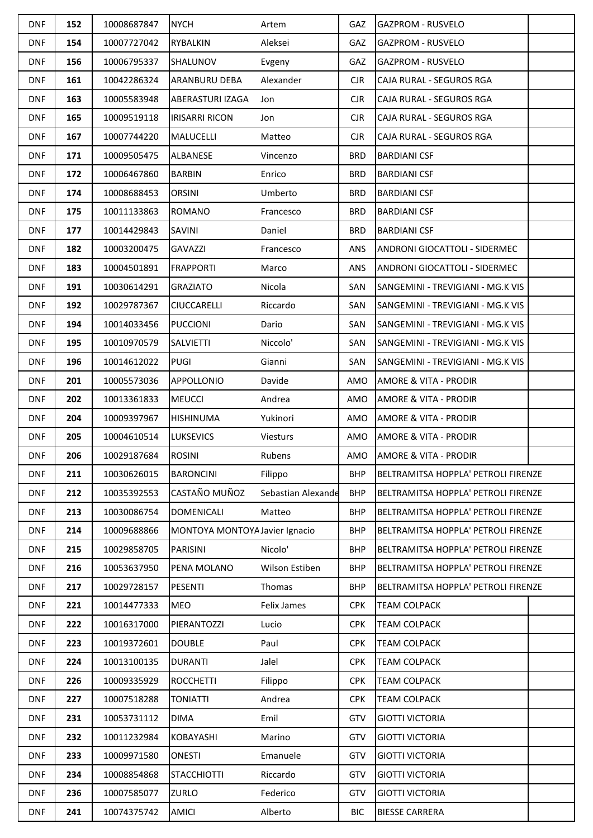| <b>DNF</b> | 152 | 10008687847 | <b>NYCH</b>                    | Artem              | <b>GAZ</b> | <b>GAZPROM - RUSVELO</b>             |  |
|------------|-----|-------------|--------------------------------|--------------------|------------|--------------------------------------|--|
| <b>DNF</b> | 154 | 10007727042 | RYBALKIN                       | Aleksei            | <b>GAZ</b> | <b>GAZPROM - RUSVELO</b>             |  |
| <b>DNF</b> | 156 | 10006795337 | <b>SHALUNOV</b>                | Evgeny             | <b>GAZ</b> | <b>GAZPROM - RUSVELO</b>             |  |
| <b>DNF</b> | 161 | 10042286324 | <b>ARANBURU DEBA</b>           | Alexander          | $C$ JR     | CAJA RURAL - SEGUROS RGA             |  |
| <b>DNF</b> | 163 | 10005583948 | <b>ABERASTURI IZAGA</b>        | Jon                | $C$ JR     | CAJA RURAL - SEGUROS RGA             |  |
| <b>DNF</b> | 165 | 10009519118 | <b>IRISARRI RICON</b>          | Jon                | $C$ JR     | CAJA RURAL - SEGUROS RGA             |  |
| <b>DNF</b> | 167 | 10007744220 | MALUCELLI                      | Matteo             | <b>CJR</b> | CAJA RURAL - SEGUROS RGA             |  |
| <b>DNF</b> | 171 | 10009505475 | ALBANESE                       | Vincenzo           | <b>BRD</b> | <b>BARDIANI CSF</b>                  |  |
| <b>DNF</b> | 172 | 10006467860 | BARBIN                         | Enrico             | <b>BRD</b> | <b>BARDIANI CSF</b>                  |  |
| <b>DNF</b> | 174 | 10008688453 | ORSINI                         | Umberto            | <b>BRD</b> | <b>BARDIANI CSF</b>                  |  |
| <b>DNF</b> | 175 | 10011133863 | <b>ROMANO</b>                  | Francesco          | <b>BRD</b> | <b>BARDIANI CSF</b>                  |  |
| <b>DNF</b> | 177 | 10014429843 | SAVINI                         | Daniel             | <b>BRD</b> | <b>BARDIANI CSF</b>                  |  |
| <b>DNF</b> | 182 | 10003200475 | <b>GAVAZZI</b>                 | Francesco          | ANS        | <b>ANDRONI GIOCATTOLI - SIDERMEC</b> |  |
| <b>DNF</b> | 183 | 10004501891 | <b>FRAPPORTI</b>               | Marco              | <b>ANS</b> | <b>ANDRONI GIOCATTOLI - SIDERMEC</b> |  |
| <b>DNF</b> | 191 | 10030614291 | <b>GRAZIATO</b>                | Nicola             | SAN        | SANGEMINI - TREVIGIANI - MG.K VIS    |  |
| <b>DNF</b> | 192 | 10029787367 | <b>CIUCCARELLI</b>             | Riccardo           | SAN        | SANGEMINI - TREVIGIANI - MG.K VIS    |  |
| <b>DNF</b> | 194 | 10014033456 | <b>PUCCIONI</b>                | Dario              | SAN        | SANGEMINI - TREVIGIANI - MG.K VIS    |  |
| <b>DNF</b> | 195 | 10010970579 | <b>SALVIETTI</b>               | Niccolo'           | SAN        | SANGEMINI - TREVIGIANI - MG.K VIS    |  |
| <b>DNF</b> | 196 | 10014612022 | <b>PUGI</b>                    | Gianni             | SAN        | SANGEMINI - TREVIGIANI - MG.K VIS    |  |
| <b>DNF</b> | 201 | 10005573036 | <b>APPOLLONIO</b>              | Davide             | AMO        | <b>AMORE &amp; VITA - PRODIR</b>     |  |
| <b>DNF</b> | 202 | 10013361833 | <b>MEUCCI</b>                  | Andrea             | AMO        | <b>AMORE &amp; VITA - PRODIR</b>     |  |
| <b>DNF</b> | 204 | 10009397967 | <b>HISHINUMA</b>               | Yukinori           | AMO        | AMORE & VITA - PRODIR                |  |
| <b>DNF</b> | 205 | 10004610514 | <b>LUKSEVICS</b>               | Viesturs           | AMO        | AMORE & VITA - PRODIR                |  |
| <b>DNF</b> | 206 | 10029187684 | ROSINI                         | Rubens             | AMO        | <b>AMORE &amp; VITA - PRODIR</b>     |  |
| <b>DNF</b> | 211 | 10030626015 | <b>BARONCINI</b>               | Filippo            | <b>BHP</b> | BELTRAMITSA HOPPLA' PETROLI FIRENZE  |  |
| <b>DNF</b> | 212 | 10035392553 | CASTAÑO MUÑOZ                  | Sebastian Alexande | <b>BHP</b> | BELTRAMITSA HOPPLA' PETROLI FIRENZE  |  |
| <b>DNF</b> | 213 | 10030086754 | <b>DOMENICALI</b>              | Matteo             | <b>BHP</b> | BELTRAMITSA HOPPLA' PETROLI FIRENZE  |  |
| <b>DNF</b> | 214 | 10009688866 | MONTOYA MONTOYA Javier Ignacio |                    | <b>BHP</b> | BELTRAMITSA HOPPLA' PETROLI FIRENZE  |  |
| <b>DNF</b> | 215 | 10029858705 | PARISINI                       | Nicolo'            | <b>BHP</b> | BELTRAMITSA HOPPLA' PETROLI FIRENZE  |  |
| <b>DNF</b> | 216 | 10053637950 | PENA MOLANO                    | Wilson Estiben     | <b>BHP</b> | BELTRAMITSA HOPPLA' PETROLI FIRENZE  |  |
| <b>DNF</b> | 217 | 10029728157 | PESENTI                        | Thomas             | <b>BHP</b> | BELTRAMITSA HOPPLA' PETROLI FIRENZE  |  |
| <b>DNF</b> | 221 | 10014477333 | <b>MEO</b>                     | Felix James        | <b>CPK</b> | <b>TEAM COLPACK</b>                  |  |
| <b>DNF</b> | 222 | 10016317000 | PIERANTOZZI                    | Lucio              | <b>CPK</b> | <b>TEAM COLPACK</b>                  |  |
| <b>DNF</b> | 223 | 10019372601 | <b>DOUBLE</b>                  | Paul               | <b>CPK</b> | <b>TEAM COLPACK</b>                  |  |
| <b>DNF</b> | 224 | 10013100135 | <b>DURANTI</b>                 | Jalel              | <b>CPK</b> | <b>TEAM COLPACK</b>                  |  |
| <b>DNF</b> | 226 | 10009335929 | <b>ROCCHETTI</b>               | Filippo            | <b>CPK</b> | <b>TEAM COLPACK</b>                  |  |
| <b>DNF</b> | 227 | 10007518288 | <b>TONIATTI</b>                | Andrea             | <b>CPK</b> | <b>TEAM COLPACK</b>                  |  |
| <b>DNF</b> | 231 | 10053731112 | DIMA                           | Emil               | GTV        | <b>GIOTTI VICTORIA</b>               |  |
| <b>DNF</b> | 232 | 10011232984 | KOBAYASHI                      | Marino             | GTV        | <b>GIOTTI VICTORIA</b>               |  |
| <b>DNF</b> | 233 | 10009971580 | <b>ONESTI</b>                  | Emanuele           | GTV        | <b>GIOTTI VICTORIA</b>               |  |
| <b>DNF</b> | 234 | 10008854868 | <b>STACCHIOTTI</b>             | Riccardo           | GTV        | <b>GIOTTI VICTORIA</b>               |  |
| <b>DNF</b> | 236 | 10007585077 | <b>ZURLO</b>                   | Federico           | GTV        | <b>GIOTTI VICTORIA</b>               |  |
| <b>DNF</b> | 241 | 10074375742 | <b>AMICI</b>                   | Alberto            | <b>BIC</b> | <b>BIESSE CARRERA</b>                |  |